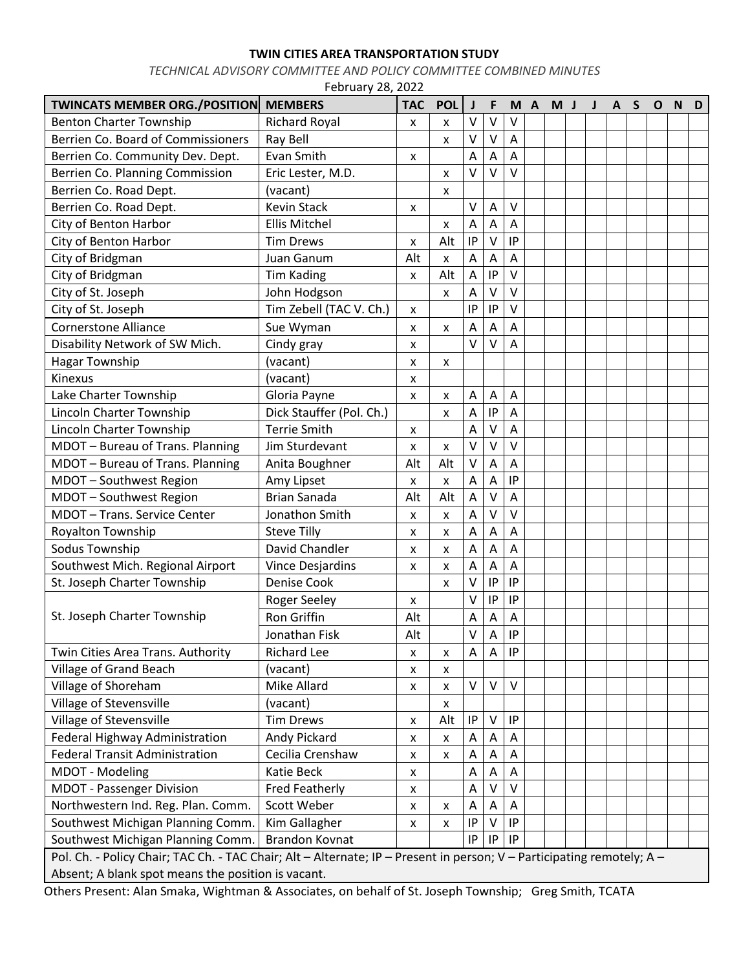## **TWIN CITIES AREA TRANSPORTATION STUDY**

*TECHNICAL ADVISORY COMMITTEE AND POLICY COMMITTEE COMBINED MINUTES*

| February 28, 2022                                                                                                      |                          |            |            |                           |                           |        |     |     |  |   |       |  |              |   |   |
|------------------------------------------------------------------------------------------------------------------------|--------------------------|------------|------------|---------------------------|---------------------------|--------|-----|-----|--|---|-------|--|--------------|---|---|
| <b>TWINCATS MEMBER ORG./POSITION</b>                                                                                   | <b>MEMBERS</b>           | <b>TAC</b> | <b>POL</b> | J                         | F                         |        | M A | M J |  | J | $A$ S |  | $\mathbf{o}$ | N | D |
| <b>Benton Charter Township</b>                                                                                         | <b>Richard Royal</b>     | X          | x          | $\vee$                    | v                         | ٧      |     |     |  |   |       |  |              |   |   |
| Berrien Co. Board of Commissioners                                                                                     | Ray Bell                 |            | x          | V                         | ٧                         | Α      |     |     |  |   |       |  |              |   |   |
| Berrien Co. Community Dev. Dept.                                                                                       | Evan Smith               | x          |            | A                         | A                         | Α      |     |     |  |   |       |  |              |   |   |
| Berrien Co. Planning Commission                                                                                        | Eric Lester, M.D.        |            | x          | $\vee$                    | $\vee$                    | $\vee$ |     |     |  |   |       |  |              |   |   |
| Berrien Co. Road Dept.                                                                                                 | (vacant)                 |            | x          |                           |                           |        |     |     |  |   |       |  |              |   |   |
| Berrien Co. Road Dept.                                                                                                 | <b>Kevin Stack</b>       | x          |            | V                         | A                         | ٧      |     |     |  |   |       |  |              |   |   |
| City of Benton Harbor                                                                                                  | <b>Ellis Mitchel</b>     |            | x          | A                         | A                         | A      |     |     |  |   |       |  |              |   |   |
| City of Benton Harbor                                                                                                  | <b>Tim Drews</b>         | x          | Alt        | IP                        | $\vee$                    | IP     |     |     |  |   |       |  |              |   |   |
| City of Bridgman                                                                                                       | Juan Ganum               | Alt        | x          | A                         | A                         | Α      |     |     |  |   |       |  |              |   |   |
| City of Bridgman                                                                                                       | <b>Tim Kading</b>        | x          | Alt        | $\boldsymbol{\mathsf{A}}$ | IP                        | V      |     |     |  |   |       |  |              |   |   |
| City of St. Joseph                                                                                                     | John Hodgson             |            | x          | A                         | $\vee$                    | V      |     |     |  |   |       |  |              |   |   |
| City of St. Joseph                                                                                                     | Tim Zebell (TAC V. Ch.)  | x          |            | IP                        | IP                        | v      |     |     |  |   |       |  |              |   |   |
| <b>Cornerstone Alliance</b>                                                                                            | Sue Wyman                | x          | x          | A                         | Α                         | A      |     |     |  |   |       |  |              |   |   |
| Disability Network of SW Mich.                                                                                         | Cindy gray               | x          |            | $\vee$                    | $\vee$                    | Α      |     |     |  |   |       |  |              |   |   |
| <b>Hagar Township</b>                                                                                                  | (vacant)                 | x          | x          |                           |                           |        |     |     |  |   |       |  |              |   |   |
| Kinexus                                                                                                                | (vacant)                 | X          |            |                           |                           |        |     |     |  |   |       |  |              |   |   |
| Lake Charter Township                                                                                                  | Gloria Payne             | x          | x          | Α                         | A                         | Α      |     |     |  |   |       |  |              |   |   |
| Lincoln Charter Township                                                                                               | Dick Stauffer (Pol. Ch.) |            | x          | Α                         | IP                        | A      |     |     |  |   |       |  |              |   |   |
| Lincoln Charter Township                                                                                               | <b>Terrie Smith</b>      | x          |            | A                         | $\vee$                    | Α      |     |     |  |   |       |  |              |   |   |
| MDOT - Bureau of Trans. Planning                                                                                       | Jim Sturdevant           | X          | x          | $\vee$                    | $\vee$                    | V      |     |     |  |   |       |  |              |   |   |
| MDOT - Bureau of Trans. Planning                                                                                       | Anita Boughner           | Alt        | Alt        | v                         | А                         | Α      |     |     |  |   |       |  |              |   |   |
| MDOT - Southwest Region                                                                                                | Amy Lipset               | x          | x          | A                         | A                         | IP     |     |     |  |   |       |  |              |   |   |
| MDOT - Southwest Region                                                                                                | <b>Brian Sanada</b>      | Alt        | Alt        | A                         | $\vee$                    | Α      |     |     |  |   |       |  |              |   |   |
| MDOT - Trans. Service Center                                                                                           | Jonathon Smith           | x          | x          | A                         | $\vee$                    | v      |     |     |  |   |       |  |              |   |   |
| Royalton Township                                                                                                      | <b>Steve Tilly</b>       | x          | x          | А                         | Α                         | Α      |     |     |  |   |       |  |              |   |   |
| Sodus Township                                                                                                         | David Chandler           | X          | x          | A                         | A                         | A      |     |     |  |   |       |  |              |   |   |
| Southwest Mich. Regional Airport                                                                                       | <b>Vince Desjardins</b>  | x          | x          | A                         | A                         | A      |     |     |  |   |       |  |              |   |   |
| St. Joseph Charter Township                                                                                            | <b>Denise Cook</b>       |            | x          | V                         | IP                        | IP     |     |     |  |   |       |  |              |   |   |
| St. Joseph Charter Township                                                                                            | <b>Roger Seeley</b>      | x          |            | V                         | IP                        | IP     |     |     |  |   |       |  |              |   |   |
|                                                                                                                        | Ron Griffin              | Alt        |            | A                         | $\mathsf A$               | Α      |     |     |  |   |       |  |              |   |   |
|                                                                                                                        | Jonathan Fisk            | Alt        |            | V                         | Α                         | IP     |     |     |  |   |       |  |              |   |   |
| Twin Cities Area Trans. Authority                                                                                      | <b>Richard Lee</b>       | X          | X          | A                         | Α                         | IP     |     |     |  |   |       |  |              |   |   |
| Village of Grand Beach                                                                                                 | (vacant)                 | X          | x          |                           |                           |        |     |     |  |   |       |  |              |   |   |
| Village of Shoreham                                                                                                    | Mike Allard              | X          | X          | $\vee$                    | $\mathsf{V}$              | $\vee$ |     |     |  |   |       |  |              |   |   |
| Village of Stevensville                                                                                                | (vacant)                 |            | x          |                           |                           |        |     |     |  |   |       |  |              |   |   |
| Village of Stevensville                                                                                                | <b>Tim Drews</b>         | x          | Alt        | IP                        | V                         | IP     |     |     |  |   |       |  |              |   |   |
| Federal Highway Administration                                                                                         | Andy Pickard             | x          | X          | Α                         | Α                         | Α      |     |     |  |   |       |  |              |   |   |
| <b>Federal Transit Administration</b>                                                                                  | Cecilia Crenshaw         | X          | x          | A                         | $\boldsymbol{\mathsf{A}}$ | A      |     |     |  |   |       |  |              |   |   |
| MDOT - Modeling                                                                                                        | Katie Beck               | x          |            | Α                         | Α                         | Α      |     |     |  |   |       |  |              |   |   |
| <b>MDOT</b> - Passenger Division                                                                                       | Fred Featherly           | X          |            | Α                         | $\vee$                    | $\vee$ |     |     |  |   |       |  |              |   |   |
| Northwestern Ind. Reg. Plan. Comm.                                                                                     | Scott Weber              | x          | x          | Α                         | A                         | A      |     |     |  |   |       |  |              |   |   |
| Southwest Michigan Planning Comm.                                                                                      | Kim Gallagher            | x          | x          | IP                        | V                         | IP     |     |     |  |   |       |  |              |   |   |
| Southwest Michigan Planning Comm.                                                                                      | <b>Brandon Kovnat</b>    |            |            | IP                        | $\sf IP$                  | IP     |     |     |  |   |       |  |              |   |   |
| Pol. Ch. - Policy Chair; TAC Ch. - TAC Chair; Alt - Alternate; IP - Present in person; V - Participating remotely; A - |                          |            |            |                           |                           |        |     |     |  |   |       |  |              |   |   |
| Absent; A blank spot means the position is vacant.                                                                     |                          |            |            |                           |                           |        |     |     |  |   |       |  |              |   |   |

Others Present: Alan Smaka, Wightman & Associates, on behalf of St. Joseph Township; Greg Smith, TCATA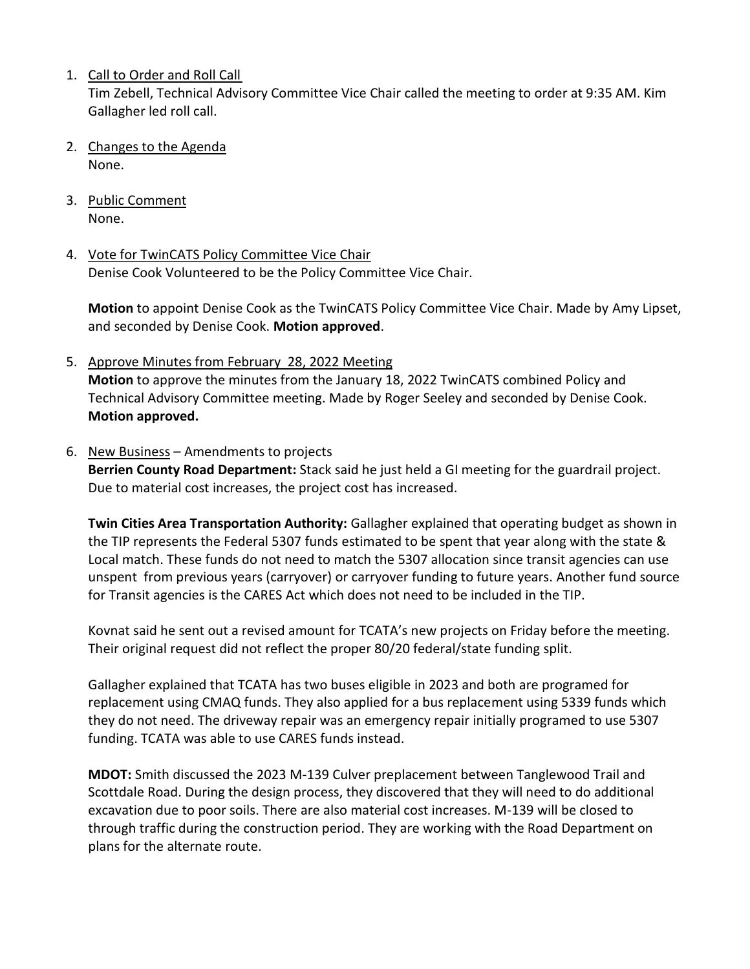1. Call to Order and Roll Call

Tim Zebell, Technical Advisory Committee Vice Chair called the meeting to order at 9:35 AM. Kim Gallagher led roll call.

- 2. Changes to the Agenda None.
- 3. Public Comment None.
- 4. Vote for TwinCATS Policy Committee Vice Chair Denise Cook Volunteered to be the Policy Committee Vice Chair.

**Motion** to appoint Denise Cook as the TwinCATS Policy Committee Vice Chair. Made by Amy Lipset, and seconded by Denise Cook. **Motion approved**.

5. Approve Minutes from February 28, 2022 Meeting **Motion** to approve the minutes from the January 18, 2022 TwinCATS combined Policy and Technical Advisory Committee meeting. Made by Roger Seeley and seconded by Denise Cook. **Motion approved.** 

## 6. New Business – Amendments to projects

**Berrien County Road Department:** Stack said he just held a GI meeting for the guardrail project. Due to material cost increases, the project cost has increased.

**Twin Cities Area Transportation Authority:** Gallagher explained that operating budget as shown in the TIP represents the Federal 5307 funds estimated to be spent that year along with the state & Local match. These funds do not need to match the 5307 allocation since transit agencies can use unspent from previous years (carryover) or carryover funding to future years. Another fund source for Transit agencies is the CARES Act which does not need to be included in the TIP.

Kovnat said he sent out a revised amount for TCATA's new projects on Friday before the meeting. Their original request did not reflect the proper 80/20 federal/state funding split.

Gallagher explained that TCATA has two buses eligible in 2023 and both are programed for replacement using CMAQ funds. They also applied for a bus replacement using 5339 funds which they do not need. The driveway repair was an emergency repair initially programed to use 5307 funding. TCATA was able to use CARES funds instead.

**MDOT:** Smith discussed the 2023 M-139 Culver preplacement between Tanglewood Trail and Scottdale Road. During the design process, they discovered that they will need to do additional excavation due to poor soils. There are also material cost increases. M-139 will be closed to through traffic during the construction period. They are working with the Road Department on plans for the alternate route.